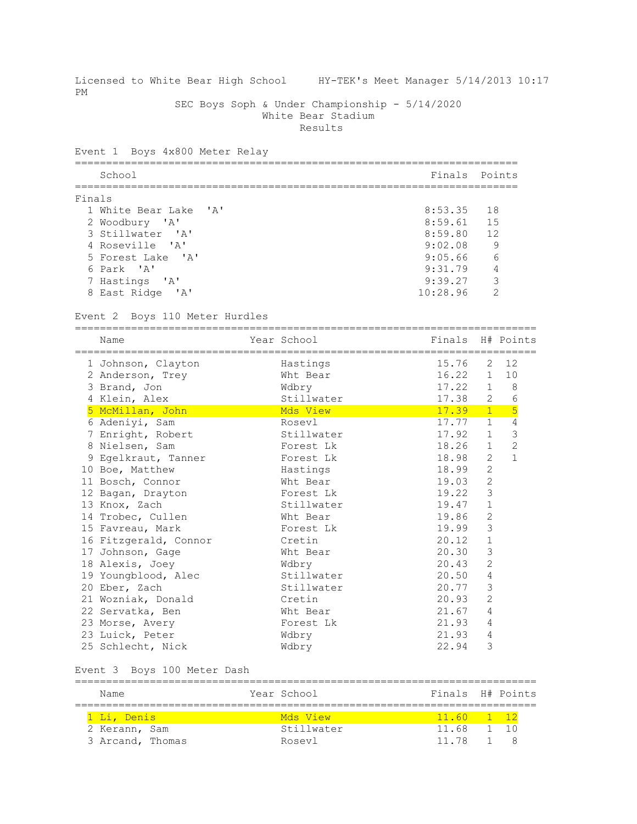| PM     | Licensed to White Bear High School HY-TEK's Meet Manager 5/14/2013 10:17 |                                                                                 |                                          |                             |                |
|--------|--------------------------------------------------------------------------|---------------------------------------------------------------------------------|------------------------------------------|-----------------------------|----------------|
|        |                                                                          | SEC Boys Soph & Under Championship - 5/14/2020<br>White Bear Stadium<br>Results |                                          |                             |                |
|        | Event 1 Boys 4x800 Meter Relay                                           |                                                                                 |                                          |                             |                |
|        | School                                                                   |                                                                                 | =======================<br>Finals Points |                             |                |
|        |                                                                          |                                                                                 |                                          |                             |                |
| Finals |                                                                          |                                                                                 |                                          |                             |                |
|        | 1 White Bear Lake 'A'                                                    |                                                                                 | 8:53.35                                  | 18                          |                |
|        | 2 Woodbury 'A'                                                           |                                                                                 | 8:59.61                                  | 15                          |                |
|        | 3 Stillwater 'A'                                                         |                                                                                 | 8:59.80                                  | 12                          |                |
|        | 4 Roseville 'A'<br>5 Forest Lake 'A'                                     |                                                                                 | 9:02.08<br>9:05.66                       | 9<br>6                      |                |
|        | 6 Park 'A'                                                               |                                                                                 | 9:31.79                                  | 4                           |                |
|        | 7 Hastings 'A'                                                           |                                                                                 | 9:39.27                                  | 3                           |                |
|        | 8 East Ridge 'A'                                                         |                                                                                 | 10:28.96                                 | 2                           |                |
|        |                                                                          |                                                                                 |                                          |                             |                |
|        | Event 2 Boys 110 Meter Hurdles                                           |                                                                                 |                                          |                             |                |
|        | Name                                                                     | Year School                                                                     | Finals                                   |                             | H# Points      |
|        | 1 Johnson, Clayton                                                       | Hastings                                                                        | 15.76                                    | 2                           | 12             |
|        | 2 Anderson, Trey                                                         | Wht Bear                                                                        | 16.22                                    | 1                           | 10             |
|        | 3 Brand, Jon                                                             | Wdbry                                                                           | 17.22                                    | $\mathbf{1}$                | 8 <sup>8</sup> |
|        | 4 Klein, Alex                                                            | Stillwater                                                                      | 17.38                                    | 2                           | 6              |
|        | 5 McMillan, John                                                         | Mds View                                                                        | 17.39                                    | $1 -$                       | 5              |
|        | 6 Adeniyi, Sam                                                           | Rosevl                                                                          | 17.77                                    | 1                           | 4              |
|        | 7 Enright, Robert                                                        | Stillwater                                                                      | 17.92                                    | $\mathbf{1}$                | $\mathfrak{Z}$ |
|        | 8 Nielsen, Sam                                                           | Forest Lk                                                                       | 18.26                                    | $\mathbf{1}$                | $\overline{2}$ |
|        | 9 Egelkraut, Tanner                                                      | Forest Lk                                                                       | 18.98                                    | 2                           | $\mathbf{1}$   |
|        | 10 Boe, Matthew                                                          | Hastings                                                                        | 18.99                                    | $\overline{c}$              |                |
|        | 11 Bosch, Connor                                                         | Wht Bear                                                                        | 19.03                                    | 2                           |                |
|        | 12 Bagan, Drayton                                                        | Forest Lk                                                                       | 19.22                                    | $\mathcal{S}$               |                |
|        | 13 Knox, Zach                                                            | Stillwater                                                                      | 19.47                                    | $\mathbf{1}$                |                |
|        | 14 Trobec, Cullen                                                        | Wht Bear                                                                        | 19.86                                    | 2                           |                |
|        | 15 Favreau, Mark                                                         | Forest Lk                                                                       | 19.99                                    | 3                           |                |
|        | 16 Fitzgerald, Connor                                                    | Cretin                                                                          | 20.12                                    | 1                           |                |
|        | 17 Johnson, Gage                                                         | Wht Bear                                                                        | 20.30<br>20.43                           | $\mathsf 3$<br>$\mathbf{2}$ |                |
|        | 18 Alexis, Joey<br>19 Youngblood, Alec                                   | Wdbry<br>Stillwater                                                             | 20.50                                    | 4                           |                |
|        | 20 Eber, Zach                                                            | Stillwater                                                                      | 20.77                                    | $\mathsf 3$                 |                |
|        | 21 Wozniak, Donald                                                       | Cretin                                                                          | 20.93                                    | 2                           |                |
|        | 22 Servatka, Ben                                                         | Wht Bear                                                                        | 21.67                                    | 4                           |                |
|        | 23 Morse, Avery                                                          | Forest Lk                                                                       | 21.93                                    | 4                           |                |
|        | 23 Luick, Peter                                                          | Wdbry                                                                           | 21.93                                    | 4                           |                |
|        | 25 Schlecht, Nick                                                        | Wdbry                                                                           | 22.94                                    | 3                           |                |
|        | Event 3 Boys 100 Meter Dash                                              |                                                                                 |                                          |                             |                |
|        |                                                                          |                                                                                 |                                          |                             |                |
|        | Name                                                                     | Year School                                                                     | Finals                                   |                             | H# Points      |
|        | 1 Li, Denis                                                              | Mds View                                                                        | 11.60                                    | 1                           | 12             |
|        | 2 Kerann, Sam                                                            | Stillwater                                                                      | 11.68                                    | 1                           | 10             |
|        | 3 Arcand, Thomas                                                         | Rosevl                                                                          | 11.78                                    | 1                           | 8              |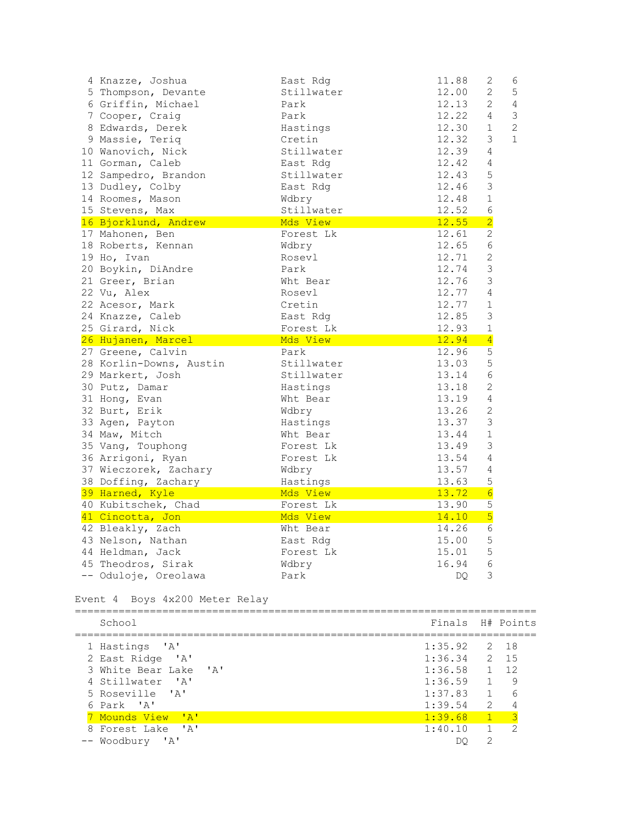| 4 Knazze, Joshua        | East Rdg   | 11.88 | 2                | 6              |
|-------------------------|------------|-------|------------------|----------------|
| 5 Thompson, Devante     | Stillwater | 12.00 | $\overline{2}$   | 5              |
| 6 Griffin, Michael      | Park       | 12.13 | $\overline{2}$   | $\overline{4}$ |
| 7 Cooper, Craig         | Park       | 12.22 | $\overline{4}$   | $\mathcal{S}$  |
| 8 Edwards, Derek        | Hastings   | 12.30 | $\mathbf{1}$     | 2              |
| 9 Massie, Teriq         | Cretin     | 12.32 | 3                | $\mathbf{1}$   |
| 10 Wanovich, Nick       | Stillwater | 12.39 | $\overline{4}$   |                |
| 11 Gorman, Caleb        | East Rdg   | 12.42 | 4                |                |
| 12 Sampedro, Brandon    | Stillwater | 12.43 | 5                |                |
| 13 Dudley, Colby        | East Rdg   | 12.46 | $\mathfrak{Z}$   |                |
| 14 Roomes, Mason        | Wdbry      | 12.48 | $1\,$            |                |
| 15 Stevens, Max         | Stillwater | 12.52 | $\sqrt{6}$       |                |
| 16 Bjorklund, Andrew    | Mds View   | 12.55 | $\overline{2}$   |                |
| 17 Mahonen, Ben         | Forest Lk  | 12.61 | $\overline{c}$   |                |
| 18 Roberts, Kennan      | Wdbry      | 12.65 | $6\,$            |                |
| 19 Ho, Ivan             | Rosevl     | 12.71 | $\mathbf 2$      |                |
| 20 Boykin, DiAndre      | Park       | 12.74 | $\mathfrak{Z}$   |                |
| 21 Greer, Brian         | Wht Bear   | 12.76 | $\mathfrak{Z}$   |                |
| 22 Vu, Alex             | Rosevl     | 12.77 | 4                |                |
| 22 Acesor, Mark         | Cretin     | 12.77 | $\mathbf 1$      |                |
| 24 Knazze, Caleb        | East Rdg   | 12.85 | $\mathfrak{Z}$   |                |
| 25 Girard, Nick         | Forest Lk  | 12.93 | $\mathbf 1$      |                |
|                         |            |       |                  |                |
| 26 Hujanen, Marcel      | Mds View   | 12.94 | $\overline{4}$   |                |
| 27 Greene, Calvin       | Park       | 12.96 | 5                |                |
| 28 Korlin-Downs, Austin | Stillwater | 13.03 | 5                |                |
| 29 Markert, Josh        | Stillwater | 13.14 | $\sqrt{6}$       |                |
| 30 Putz, Damar          | Hastings   | 13.18 | $\overline{2}$   |                |
| 31 Hong, Evan           | Wht Bear   | 13.19 | $\overline{4}$   |                |
| 32 Burt, Erik           | Wdbry      | 13.26 | $\mathbf{2}$     |                |
| 33 Agen, Payton         | Hastings   | 13.37 | $\mathsf 3$      |                |
| 34 Maw, Mitch           | Wht Bear   | 13.44 | $\mathbf 1$      |                |
| 35 Vang, Touphong       | Forest Lk  | 13.49 | 3                |                |
| 36 Arrigoni, Ryan       | Forest Lk  | 13.54 | 4                |                |
| 37 Wieczorek, Zachary   | Wdbry      | 13.57 | 4                |                |
| 38 Doffing, Zachary     | Hastings   | 13.63 | 5                |                |
| 39 Harned, Kyle         | Mds View   | 13.72 | $6 \overline{6}$ |                |
| 40 Kubitschek, Chad     | Forest Lk  | 13.90 | 5                |                |
| 41 Cincotta, Jon        | Mds View   | 14.10 | 5                |                |
| 42 Bleakly, Zach        | Wht Bear   | 14.26 | 6                |                |
| 43 Nelson, Nathan       | East Rdg   | 15.00 | 5                |                |
| 44 Heldman, Jack        | Forest Lk  | 15.01 | 5                |                |
| 45 Theodros, Sirak      | Wdbry      | 16.94 | $6\phantom{1}$   |                |
| -- Oduloje, Oreolawa    | Park       | DQ.   | 3                |                |

Event 4 Boys 4x200 Meter Relay

| School                                             | Finals H# Points |                  |                |
|----------------------------------------------------|------------------|------------------|----------------|
| 1 Hastings 'A'                                     | $1:35.92$ 2 18   |                  |                |
| 2 East Ridge 'A'                                   | $1:36.34$ 2 15   |                  |                |
| 3 White Bear Lake 'A'                              | $1:36.58$ 1 12   |                  |                |
| 4 Stillwater 'A'                                   | 1:36.59          | $\sqrt{1}$       | 9              |
| 5 Roseville 'A'                                    | 1:37.83          |                  | 16             |
| 6 Park 'A'                                         | 1:39.54          | $\overline{2}$   |                |
| 7 Mounds View 'A'                                  | 1:39.68          | $\blacksquare$ 1 | $\sqrt{3}$     |
| 8 Forest Lake 'A'                                  | 1:40.10          |                  | $\overline{2}$ |
| $^{\prime}$ $^{\prime}$ $^{\prime}$<br>-- Woodbury |                  | っ                |                |
|                                                    |                  |                  |                |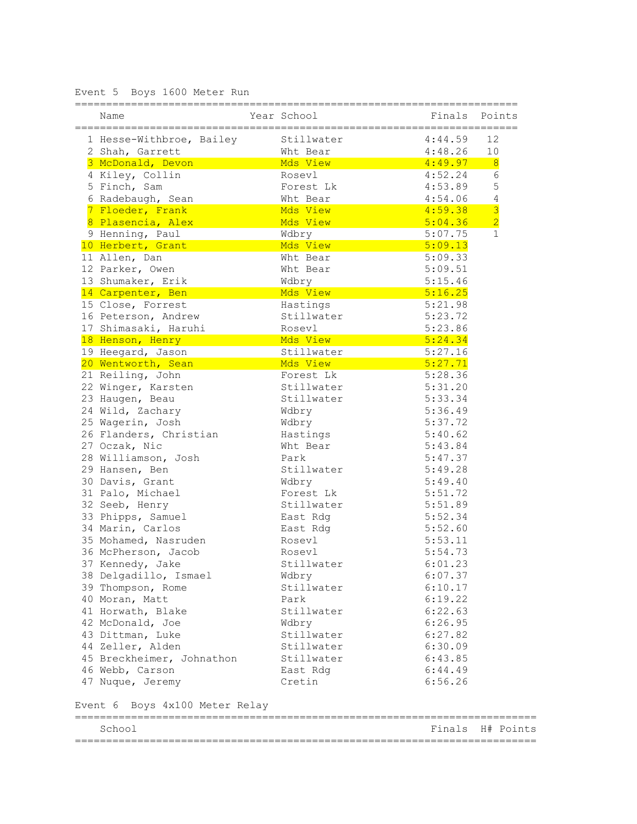Event 5 Boys 1600 Meter Run

| Name                           | Year School | Finals             | Points           |
|--------------------------------|-------------|--------------------|------------------|
| 1 Hesse-Withbroe, Bailey       | Stillwater  | 4:44.59            | 12               |
| 2 Shah, Garrett                | Wht Bear    | 4:48.26            | 10               |
| 3 McDonald, Devon              | Mds View    | 4:49.97            | $\overline{8}$   |
| 4 Kiley, Collin                | Rosevl      | 4:52.24            | 6                |
| 5 Finch, Sam                   | Forest Lk   | 4:53.89            | 5                |
| 6 Radebaugh, Sean              | Wht Bear    | 4:54.06            | $\sqrt{4}$       |
| 7 Floeder, Frank               | Mds View    | 4:59.38            | $\overline{3}$   |
| 8 Plasencia, Alex              | Mds View    | 5:04.36            | $\overline{2}$   |
| 9 Henning, Paul                | Wdbry       | 5:07.75            | $\mathbf{1}$     |
| 10 Herbert, Grant              | Mds View    | 5:09.13            |                  |
| 11 Allen, Dan                  | Wht Bear    | 5:09.33            |                  |
| 12 Parker, Owen                | Wht Bear    | 5:09.51            |                  |
| 13 Shumaker, Erik              | Wdbry       | 5:15.46            |                  |
| 14 Carpenter, Ben              | Mds View    | 5:16.25            |                  |
| 15 Close, Forrest              | Hastings    | 5:21.98            |                  |
| 16 Peterson, Andrew            | Stillwater  | 5:23.72            |                  |
| 17 Shimasaki, Haruhi           | Rosevl      | 5:23.86            |                  |
| 18 Henson, Henry               | Mds View    |                    |                  |
|                                |             | 5:24.34<br>5:27.16 |                  |
| 19 Heegard, Jason              | Stillwater  |                    |                  |
| 20 Wentworth, Sean             | Mds View    | 5:27.71            |                  |
| 21 Reiling, John               | Forest Lk   | 5:28.36            |                  |
| 22 Winger, Karsten             | Stillwater  | 5:31.20            |                  |
| 23 Haugen, Beau                | Stillwater  | 5:33.34            |                  |
| 24 Wild, Zachary               | Wdbry       | 5:36.49            |                  |
| 25 Wagerin, Josh               | Wdbry       | 5:37.72            |                  |
| 26 Flanders, Christian         | Hastings    | 5:40.62            |                  |
| 27 Oczak, Nic                  | Wht Bear    | 5:43.84            |                  |
| 28 Williamson, Josh            | Park        | 5:47.37            |                  |
| 29 Hansen, Ben                 | Stillwater  | 5:49.28            |                  |
| 30 Davis, Grant                | Wdbry       | 5:49.40            |                  |
| 31 Palo, Michael               | Forest Lk   | 5:51.72            |                  |
| 32 Seeb, Henry                 | Stillwater  | 5:51.89            |                  |
| 33 Phipps, Samuel              | East Rdg    | 5:52.34            |                  |
| 34 Marin, Carlos               | East Rdg    | 5:52.60            |                  |
| 35 Mohamed, Nasruden           | Rosevl      | 5:53.11            |                  |
| 36 McPherson, Jacob            | Rosevl      | 5:54.73            |                  |
| 37 Kennedy, Jake               | Stillwater  | 6:01.23            |                  |
| 38 Delgadillo, Ismael          | Wdbry       | 6:07.37            |                  |
| 39 Thompson, Rome              | Stillwater  | 6:10.17            |                  |
| 40 Moran, Matt                 | Park        | 6:19.22            |                  |
| 41 Horwath, Blake              | Stillwater  | 6:22.63            |                  |
| 42 McDonald, Joe               | Wdbry       | 6:26.95            |                  |
| 43 Dittman, Luke               | Stillwater  | 6:27.82            |                  |
| 44 Zeller, Alden               | Stillwater  | 6:30.09            |                  |
| 45 Breckheimer, Johnathon      | Stillwater  | 6:43.85            |                  |
| 46 Webb, Carson                | East Rdg    | 6:44.49            |                  |
| 47 Nuque, Jeremy               | Cretin      | 6:56.26            |                  |
| Event 6 Boys 4x100 Meter Relay |             |                    |                  |
| School                         |             |                    | Finals H# Points |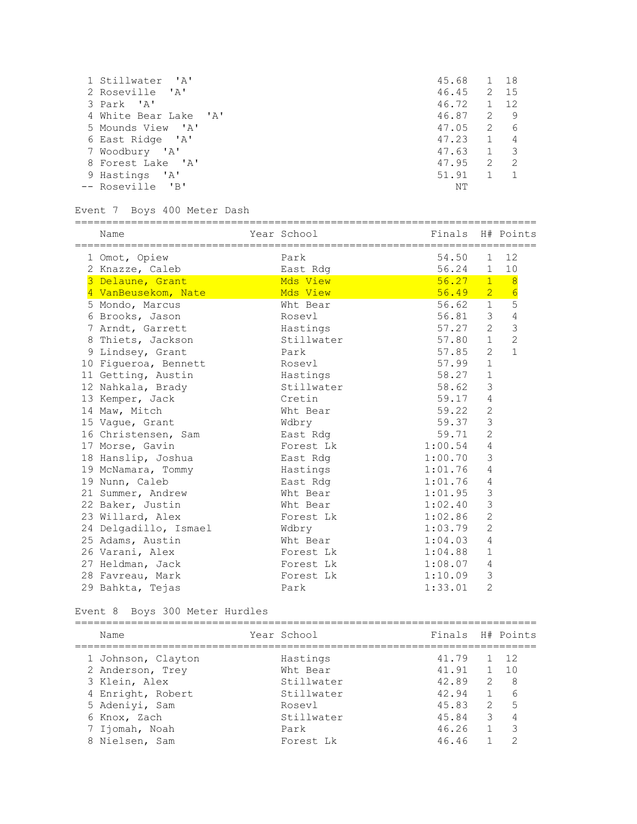| 1 Stillwater 'A'      | 45.68 | 1 18         |                         |
|-----------------------|-------|--------------|-------------------------|
| 2 Roseville 'A'       | 46.45 |              | 2 15                    |
| 3 Park 'A'            | 46.72 | 1 12         |                         |
| 4 White Bear Lake 'A' | 46.87 |              | 2 9                     |
| 5 Mounds View 'A'     | 47.05 | 2            | 6                       |
| 6 East Ridge 'A'      | 47.23 | $\mathbf{1}$ | 4                       |
| 7 Woodbury 'A'        | 47.63 | $\mathbf{1}$ | $\overline{\mathbf{3}}$ |
| 8 Forest Lake 'A'     | 47.95 | 2            | -2                      |
| 9 Hastings 'A'        | 51.91 |              |                         |
| -- Roseville 'B'      | NΤ    |              |                         |

### Event 7 Boys 400 Meter Dash

==========================================================================

| Name                                                   | Year School                    | Finals  |                | H# Points      |
|--------------------------------------------------------|--------------------------------|---------|----------------|----------------|
| =====================================<br>1 Omot, Opiew | ;=====================<br>Park | 54.50   | 1              | 12             |
| 2 Knazze, Caleb                                        | East Rdg                       | 56.24   | $\mathbf{1}$   | 10             |
| 3 Delaune, Grant                                       | Mds View                       | 56.27   | 1              | $-8$           |
| 4 VanBeusekom, Nate                                    | Mds View                       | 56.49   | 2 <sup>7</sup> | 6              |
| 5 Mondo, Marcus                                        | Wht Bear                       | 56.62 1 |                | 5              |
| 6 Brooks, Jason                                        | Rosevl                         | 56.81   | 3 <sup>7</sup> | $\overline{4}$ |
| 7 Arndt, Garrett                                       | Hastings                       | 57.27   | $\mathbf{2}$   | $\mathfrak{Z}$ |
| 8 Thiets, Jackson                                      | Stillwater                     | 57.80   | 1              | $\overline{2}$ |
| 9 Lindsey, Grant                                       | Park                           | 57.85   | 2              | $\mathbf{1}$   |
| 10 Figueroa, Bennett                                   | Rosevl                         | 57.99   | $\mathbf{1}$   |                |
| 11 Getting, Austin                                     | Hastings                       | 58.27   | $\mathbf{1}$   |                |
| 12 Nahkala, Brady                                      | Stillwater                     | 58.62   | 3              |                |
| 13 Kemper, Jack                                        | Cretin                         | 59.17   | 4              |                |
| 14 Maw, Mitch                                          | Wht Bear                       | 59.22   | 2              |                |
| 15 Vague, Grant                                        | Wdbry                          | 59.37   | $\mathcal{S}$  |                |
| 16 Christensen, Sam                                    | East Rdg                       | 59.71   | 2              |                |
| 17 Morse, Gavin                                        | Forest Lk                      | 1:00.54 | $\overline{4}$ |                |
| 18 Hanslip, Joshua                                     | East Rdg                       | 1:00.70 | 3              |                |
| 19 McNamara, Tommy                                     | Hastings                       | 1:01.76 | 4              |                |
| 19 Nunn, Caleb                                         | East Rdq                       | 1:01.76 | $\overline{4}$ |                |
| 21 Summer, Andrew                                      | Wht Bear                       | 1:01.95 | 3              |                |
| 22 Baker, Justin                                       | Wht Bear                       | 1:02.40 | 3              |                |
| 23 Willard, Alex                                       | Forest Lk                      | 1:02.86 | $\overline{2}$ |                |
| 24 Delgadillo, Ismael                                  | Wdbry                          | 1:03.79 | $\overline{2}$ |                |
| 25 Adams, Austin                                       | Wht Bear                       | 1:04.03 | 4              |                |
| 26 Varani, Alex                                        | Forest Lk                      | 1:04.88 | $\mathbf{1}$   |                |
| 27 Heldman, Jack                                       | Forest Lk                      | 1:08.07 | $\overline{4}$ |                |
| 28 Favreau, Mark                                       | Forest Lk                      | 1:10.09 | 3              |                |
| 29 Bahkta, Tejas                                       | Park                           | 1:33.01 | $\overline{2}$ |                |

Event 8 Boys 300 Meter Hurdles

| Name               | Year School | Finals H# Points |                |                         |
|--------------------|-------------|------------------|----------------|-------------------------|
| 1 Johnson, Clayton | Hastings    | 41.79            |                | $1 \t12$                |
| 2 Anderson, Trey   | Wht Bear    | 41.91 1 10       |                |                         |
| 3 Klein, Alex      | Stillwater  | 42.89            | 2              | - 8                     |
| 4 Enright, Robert  | Stillwater  | 42.94            | $\overline{1}$ | 6                       |
| 5 Adenivi, Sam     | Rosev]      | 45.83            |                | 2 5                     |
| 6 Knox, Zach       | Stillwater  | 45.84            |                | $3 \t 4$                |
| 7 Ijomah, Noah     | Park        | 46.26            | $\overline{1}$ | $\overline{\mathbf{3}}$ |
| 8 Nielsen, Sam     | Forest Lk   | 46.46            |                | ◠                       |
|                    |             |                  |                |                         |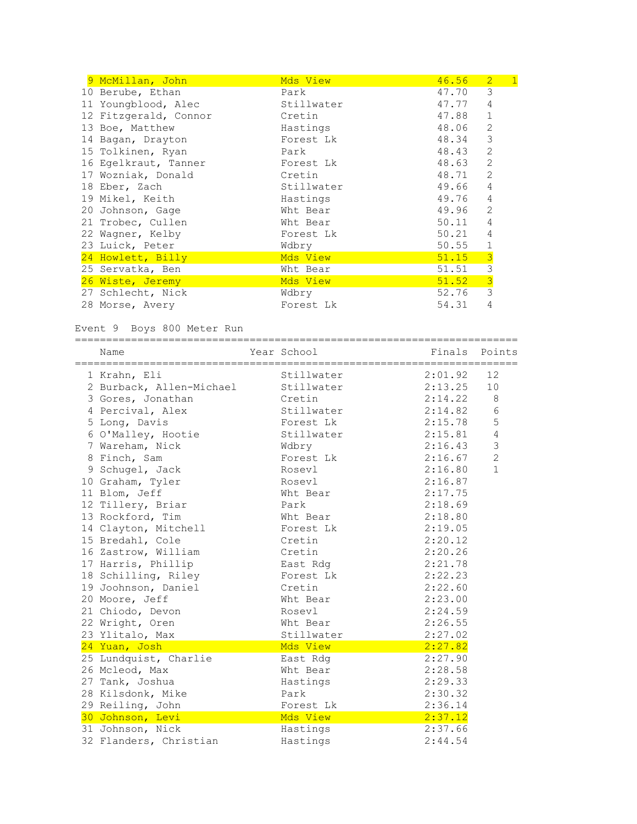| 9 McMillan, John      | Mds View   | 46.56 | $\boxed{1}$<br>$\overline{2}$ |
|-----------------------|------------|-------|-------------------------------|
| 10 Berube, Ethan      | Park       | 47.70 | 3                             |
| 11 Youngblood, Alec   | Stillwater | 47.77 | 4                             |
| 12 Fitzgerald, Connor | Cretin     | 47.88 | $\mathbf{1}$                  |
| 13 Boe, Matthew       | Hastings   | 48.06 | 2                             |
| 14 Bagan, Drayton     | Forest Lk  | 48.34 | 3                             |
| 15 Tolkinen, Ryan     | Park       | 48.43 | 2                             |
| 16 Egelkraut, Tanner  | Forest Lk  | 48.63 | 2                             |
| 17 Wozniak, Donald    | Cretin     | 48.71 | 2                             |
| 18 Eber, Zach         | Stillwater | 49.66 | 4                             |
| 19 Mikel, Keith       | Hastings   | 49.76 | 4                             |
| 20 Johnson, Gage      | Wht Bear   | 49.96 | 2                             |
| 21 Trobec, Cullen     | Wht Bear   | 50.11 | 4                             |
| 22 Wagner, Kelby      | Forest Lk  | 50.21 | 4                             |
| 23 Luick, Peter       | Wdbry      | 50.55 | $\mathbf 1$                   |
| 24 Howlett, Billy     | Mds View   | 51.15 | $\frac{3}{3}$                 |
| 25 Servatka, Ben      | Wht Bear   | 51.51 |                               |
| 26 Wiste, Jeremy      | Mds View   | 51.52 | $\overline{3}$                |
| 27 Schlecht, Nick     | Wdbry      | 52.76 | 3                             |
| 28 Morse, Avery       | Forest Lk  | 54.31 | 4                             |

## Event 9 Boys 800 Meter Run

=======================================================================

| Name                     | Year School | Finals  | Points         |
|--------------------------|-------------|---------|----------------|
| 1 Krahn, Eli             | Stillwater  | 2:01.92 | 12             |
| 2 Burback, Allen-Michael | Stillwater  | 2:13.25 | 10             |
| 3 Gores, Jonathan        | Cretin      | 2:14.22 | 8              |
| 4 Percival, Alex         | Stillwater  | 2:14.82 | 6              |
| 5 Long, Davis            | Forest Lk   | 2:15.78 | 5              |
| 6 O'Malley, Hootie       | Stillwater  | 2:15.81 | $\overline{4}$ |
| 7 Wareham, Nick          | Wdbry       | 2:16.43 | $\mathfrak{Z}$ |
| 8 Finch, Sam             | Forest Lk   | 2:16.67 | $\overline{2}$ |
| 9 Schugel, Jack          | Rosevl      | 2:16.80 | $\mathbf{1}$   |
| 10 Graham, Tyler         | Rosevl      | 2:16.87 |                |
| 11 Blom, Jeff            | Wht Bear    | 2:17.75 |                |
| 12 Tillery, Briar        | Park        | 2:18.69 |                |
| 13 Rockford, Tim         | Wht Bear    | 2:18.80 |                |
| 14 Clayton, Mitchell     | Forest Lk   | 2:19.05 |                |
| 15 Bredahl, Cole         | Cretin      | 2:20.12 |                |
| 16 Zastrow, William      | Cretin      | 2:20.26 |                |
| 17 Harris, Phillip       | East Rdg    | 2:21.78 |                |
| 18 Schilling, Riley      | Forest Lk   | 2:22.23 |                |
| 19 Joohnson, Daniel      | Cretin      | 2:22.60 |                |
| 20 Moore, Jeff           | Wht Bear    | 2:23.00 |                |
| 21 Chiodo, Devon         | Rosevl      | 2:24.59 |                |
| 22 Wright, Oren          | Wht Bear    | 2:26.55 |                |
| 23 Ylitalo, Max          | Stillwater  | 2:27.02 |                |
| 24 Yuan, Josh            | Mds View    | 2:27.82 |                |
| 25 Lundquist, Charlie    | East Rdg    | 2:27.90 |                |
| 26 Mcleod, Max           | Wht Bear    | 2:28.58 |                |
| 27 Tank, Joshua          | Hastings    | 2:29.33 |                |
| 28 Kilsdonk, Mike        | Park        | 2:30.32 |                |
| 29 Reiling, John         | Forest Lk   | 2:36.14 |                |
| 30 Johnson, Levi         | Mds View    | 2:37.12 |                |
| 31 Johnson, Nick         | Hastings    | 2:37.66 |                |
| 32 Flanders, Christian   | Hastings    | 2:44.54 |                |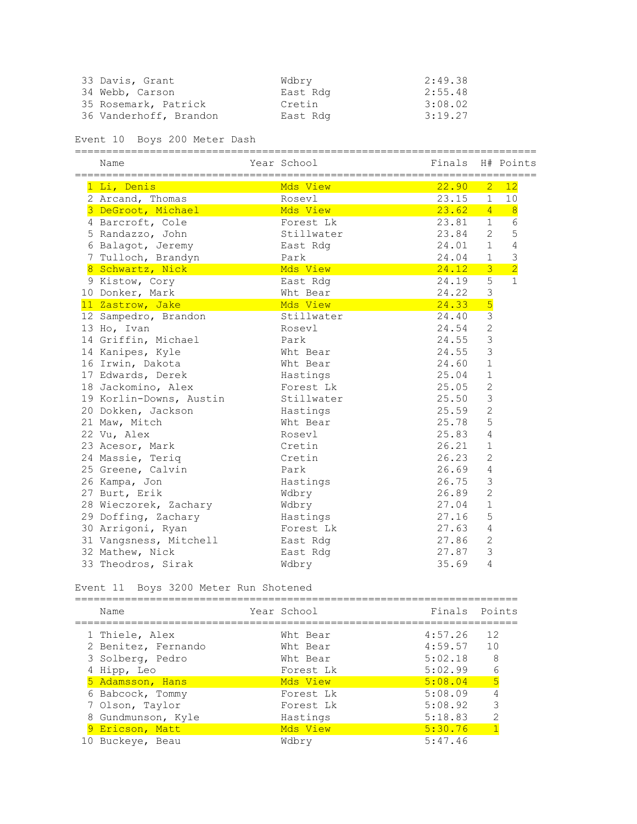| 33 Davis, Grant        | Wdbry    | 2:49.38 |
|------------------------|----------|---------|
| 34 Webb, Carson        | East Rdg | 2:55.48 |
| 35 Rosemark, Patrick   | Cretin   | 3:08.02 |
| 36 Vanderhoff, Brandon | East Rdg | 3:19.27 |

Event 10 Boys 200 Meter Dash

| Name                                     | Year School | Finals  |                | H# Points      |
|------------------------------------------|-------------|---------|----------------|----------------|
| 1 Li, Denis                              | Mds View    | 22.90   | $\overline{2}$ | 12             |
| 2 Arcand, Thomas                         | Rosevl      | 23.15   | 1              | 10             |
| 3 DeGroot, Michael                       | Mds View    | 23.62   | $\overline{4}$ | $\overline{8}$ |
| 4 Barcroft, Cole                         | Forest Lk   | 23.81   | $\mathbf{1}$   | 6              |
| 5 Randazzo, John                         | Stillwater  | 23.84   | $\overline{2}$ | 5              |
| 6 Balagot, Jeremy                        | East Rdg    | 24.01   | $\mathbf{1}$   | $\sqrt{4}$     |
| 7 Tulloch, Brandyn                       | Park        | 24.04   | $\mathbf{1}$   | $\mathsf 3$    |
| 8 Schwartz, Nick                         | Mds View    | 24.12   | $\overline{3}$ | $\overline{2}$ |
| 9 Kistow, Cory                           | East Rdg    | 24.19   | 5              | $\mathbf{1}$   |
| 10 Donker, Mark                          | Wht Bear    | 24.22   | 3              |                |
| 11 Zastrow, Jake                         | Mds View    | 24.33   | 5              |                |
| 12 Sampedro, Brandon                     | Stillwater  | 24.40   | $\overline{3}$ |                |
| 13 Ho, Ivan                              | Rosevl      | 24.54   | $\overline{2}$ |                |
| 14 Griffin, Michael                      | Park        | 24.55   | 3              |                |
| 14 Kanipes, Kyle                         | Wht Bear    | 24.55   | 3              |                |
| 16 Irwin, Dakota                         | Wht Bear    | 24.60   | $\mathbf{1}$   |                |
| 17 Edwards, Derek                        | Hastings    | 25.04   | $\mathbf{1}$   |                |
| 18 Jackomino, Alex                       | Forest Lk   | 25.05   | $\mathbf{2}$   |                |
| 19 Korlin-Downs, Austin                  | Stillwater  | 25.50   | 3              |                |
| 20 Dokken, Jackson                       | Hastings    | 25.59   | $\overline{c}$ |                |
| 21 Maw, Mitch                            | Wht. Bear   | 25.78   | 5              |                |
| 22 Vu, Alex                              | Rosevl      | 25.83   | 4              |                |
| 23 Acesor, Mark                          | Cretin      | 26.21   | $\mathbf{1}$   |                |
| 24 Massie, Teriq                         | Cretin      | 26.23   | $\overline{c}$ |                |
| 25 Greene, Calvin                        | Park        | 26.69   | $\overline{4}$ |                |
| 26 Kampa, Jon                            | Hastings    | 26.75   | 3              |                |
| 27 Burt, Erik                            | Wdbry       | 26.89   | $\mathbf{2}$   |                |
| 28 Wieczorek, Zachary                    | Wdbry       | 27.04   | $\mathbf 1$    |                |
| 29 Doffing, Zachary                      | Hastings    | 27.16   | 5              |                |
| 30 Arrigoni, Ryan                        | Forest Lk   | 27.63   | 4              |                |
| 31 Vangsness, Mitchell                   | East Rdg    | 27.86   | $\overline{2}$ |                |
| 32 Mathew, Nick                          | East Rdg    | 27.87   | 3              |                |
| 33 Theodros, Sirak                       | Wdbry       | 35.69   | 4              |                |
| Event 11<br>Boys 3200 Meter Run Shotened |             |         |                |                |
| Name                                     | Year School | Finals  |                | Points         |
| 1 Thiele, Alex                           | Wht Bear    | 4:57.26 | 12             |                |
| 2 Benitez, Fernando                      | Wht Bear    | 4:59.57 | 10             |                |
| 3 Solberg, Pedro                         | Wht Bear    | 5:02.18 |                | $\,8\,$        |
| 4 Hipp, Leo                              | Forest Lk   | 5:02.99 |                | $\epsilon$     |
| 5 Adamsson, Hans                         | Mds View    | 5:08.04 |                | $\overline{5}$ |
| 6 Babcock, Tommy                         | Forest Lk   | 5:08.09 |                | 4              |

 7 Olson, Taylor Forest Lk 5:08.92 3 8 Gundmunson, Kyle Hastings 5:18.83 2

9 Ericson, Matt Mds View 5:30.76 1

10 Buckeye, Beau Wdbry 5:47.46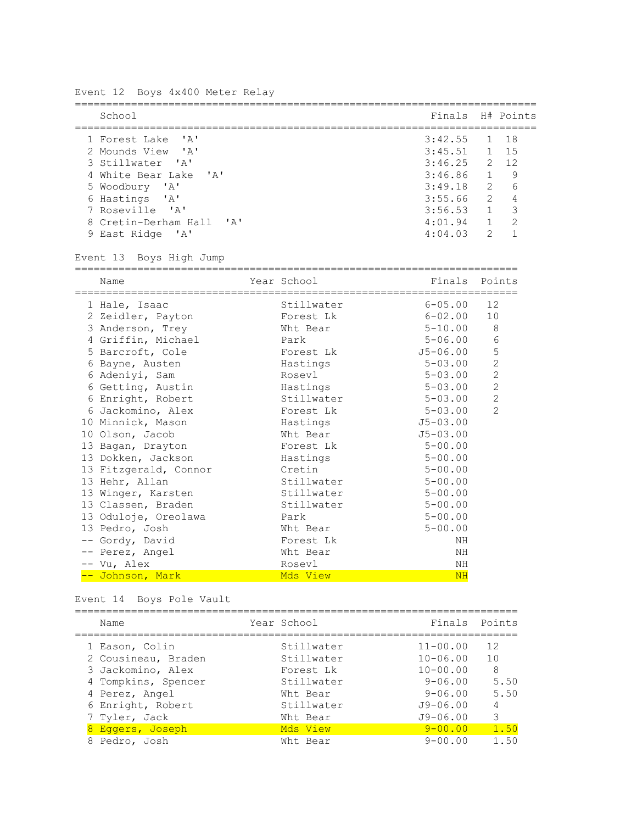Event 12 Boys 4x400 Meter Relay ========================================================================== School Finals H# Points ========================================================================== 1 Forest Lake 'A' 3:42.55 1 18 2 Mounds View 'A' 3:45.51 1 15 3 Stillwater 'A' 3:46.25 2 12 4 White Bear Lake 'A' 3:46.86 1 9 5 Woodbury 'A' 6 Hastings 'A' 3:55.66 2 4 7 Roseville 'A' 3:56.53 1 3 8 Cretin-Derham Hall 'A' 4:01.94 1 2 9 East Ridge 'A' 4:04.03 2 1 Event 13 Boys High Jump ======================================================================= Name The Year School Team Points Points ======================================================================= 1 Hale, Isaac Stillwater 6-05.00 12 1 naie, Isaac<br>2 Zeidler, Payton Forest Lk 6-02.00 10 1 Hale, Isaac<br>
2 Zeidler, Payton Forest Lk 6-02.00 10<br>
3 Anderson, Trey Wht Bear 5-10.00 8<br>
4 Griffin, Michael Park 5-06.00 6<br>
5 Barcroft, Cole Forest Lk 55-06.00 5 4 Griffin, Michael Park 5-06.00 6 5 Barcroft, Cole Forest Lk J5-06.00 5 6 Bayne, Austen Hastings 5-03.00 2 6 Adeniyi, Sam Rosevl 5-03.00 2 6 Getting, Austin Hastings 5-03.00 2 6 Enright, Robert Stillwater 5-03.00 2 6 Jackomino, Alex Forest Lk 5-03.00 2 10 Minnick, Mason Hastings J5-03.00 10 Olson, Jacob Wht Bear J5-03.00 13 Bagan, Drayton Forest Lk 5-00.00 13 Dokken, Jackson Hastings 5-00.00 13 Fitzgerald, Connor Cretin 5-00.00 13 Hehr, Allan Stillwater 5-00.00 13 Henr, Allan<br>13 Winger, Karsten Stillwater 5-00.00<br>13 Winger, Karsten Stillwater 5-00.00 13 Classen, Braden Stillwater 5-00.00<br>
13 Classen, Braden Stillwater 5-00.00<br>
13 Oduloje, Oreolawa Park 5-00.00 13 Chassen, Drugon<br>13 Oduloje, Oreolawa Park 5-00.00 13 Pedro, Josh Wht Bear 5-00.00 -- Gordy, David **Forest Lk** Forest Lk -- Perez, Angel Wht Bear NH -- Vu, Alex Rosevl NH -- Johnson, Mark Moscow Moscow Moscow Moscow MH

Event 14 Boys Pole Vault

| Name                | Year School |              | Finals Points  |
|---------------------|-------------|--------------|----------------|
| 1 Eason, Colin      | Stillwater  | $11 - 00.00$ | 12             |
| 2 Cousineau, Braden | Stillwater  | $10 - 06.00$ | 10             |
| 3 Jackomino, Alex   | Forest Lk   | $10 - 00.00$ | 8              |
| 4 Tompkins, Spencer | Stillwater  | $9 - 06.00$  | 5.50           |
| 4 Perez, Angel      | Wht Bear    | $9 - 06.00$  | 5.50           |
| 6 Enright, Robert   | Stillwater  | $J9 - 06.00$ | $\overline{4}$ |
| 7 Tyler, Jack       | Wht Bear    | $J9 - 06.00$ | 3              |
| 8 Eqqers, Joseph    | Mds View    | $9 - 00.00$  | 1.50           |
| 8 Pedro, Josh       | Wht Bear    | $9 - 00.00$  | 1.50           |
|                     |             |              |                |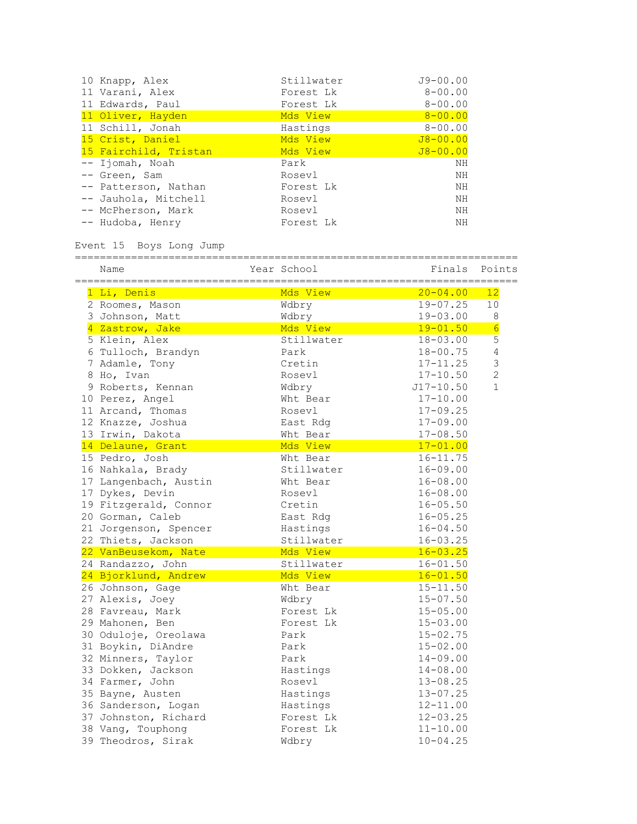| 10 Knapp, Alex        | Stillwater | $J9 - 00.00$ |
|-----------------------|------------|--------------|
| 11 Varani, Alex       | Forest Lk  | $8 - 00.00$  |
| 11 Edwards, Paul      | Forest Lk  | $8 - 00.00$  |
| 11 Oliver, Hayden     | Mds View   | $8 - 00.00$  |
| 11 Schill, Jonah      | Hastings   | $8 - 00.00$  |
| 15 Crist, Daniel      | Mds View   | $J8 - 00.00$ |
| 15 Fairchild, Tristan | Mds View   | $J8 - 00.00$ |
| -- Ijomah, Noah       | Park       | NΗ           |
| -- Green, Sam         | Rosevl     | ΝH           |
| -- Patterson, Nathan  | Forest Lk  | ΝH           |
| -- Jauhola, Mitchell  | Rosevl     | ΝH           |
| -- McPherson, Mark    | Rosevl     | ΝH           |
| -- Hudoba, Henry      | Forest Lk  | NH           |

### Event 15 Boys Long Jump

| Name                  | Year School | Finals        | Points          |
|-----------------------|-------------|---------------|-----------------|
| 1 Li, Denis           | Mds View    | $20 - 04.00$  | 12              |
| 2 Roomes, Mason       | Wdbry       | $19 - 07.25$  | 10              |
| 3 Johnson, Matt       | Wdbry       | $19 - 03.00$  | $\,8\,$         |
| 4 Zastrow, Jake       | Mds View    | $19 - 01.50$  | $6\overline{6}$ |
| 5 Klein, Alex         | Stillwater  | $18 - 03.00$  | 5               |
| 6 Tulloch, Brandyn    | Park        | $18 - 00.75$  | $\sqrt{4}$      |
| 7 Adamle, Tony        | Cretin      | $17 - 11.25$  | 3               |
| 8 Ho, Ivan            | Rosevl      | $17 - 10.50$  | $\overline{2}$  |
| 9 Roberts, Kennan     | Wdbry       | $J17 - 10.50$ | $\mathbf{1}$    |
| 10 Perez, Angel       | Wht Bear    | $17 - 10.00$  |                 |
| 11 Arcand, Thomas     | Rosevl      | $17 - 09.25$  |                 |
| 12 Knazze, Joshua     | East Rdg    | $17 - 09.00$  |                 |
| 13 Irwin, Dakota      | Wht Bear    | $17 - 08.50$  |                 |
| 14 Delaune, Grant     | Mds View    | $17 - 01.00$  |                 |
| 15 Pedro, Josh        | Wht Bear    | $16 - 11.75$  |                 |
| 16 Nahkala, Brady     | Stillwater  | $16 - 09.00$  |                 |
| 17 Langenbach, Austin | Wht Bear    | $16 - 08.00$  |                 |
| 17 Dykes, Devin       | Rosevl      | $16 - 08.00$  |                 |
| 19 Fitzgerald, Connor | Cretin      | $16 - 05.50$  |                 |
| 20 Gorman, Caleb      | East Rdg    | $16 - 05.25$  |                 |
| 21 Jorgenson, Spencer | Hastings    | $16 - 04.50$  |                 |
| 22 Thiets, Jackson    | Stillwater  | $16 - 03.25$  |                 |
| 22 VanBeusekom, Nate  | Mds View    | $16 - 03.25$  |                 |
| 24 Randazzo, John     | Stillwater  | $16 - 01.50$  |                 |
| 24 Bjorklund, Andrew  | Mds View    | $16 - 01.50$  |                 |
| 26 Johnson, Gage      | Wht Bear    | $15 - 11.50$  |                 |
| 27 Alexis, Joey       | Wdbry       | $15 - 07.50$  |                 |
| 28 Favreau, Mark      | Forest Lk   | $15 - 05.00$  |                 |
| 29 Mahonen, Ben       | Forest Lk   | $15 - 03.00$  |                 |
| 30 Oduloje, Oreolawa  | Park        | $15 - 02.75$  |                 |
| 31 Boykin, DiAndre    | Park        | $15 - 02.00$  |                 |
| 32 Minners, Taylor    | Park        | $14 - 09.00$  |                 |
| 33 Dokken, Jackson    | Hastings    | $14 - 08.00$  |                 |
| 34 Farmer, John       | Rosevl      | $13 - 08.25$  |                 |
| 35 Bayne, Austen      | Hastings    | $13 - 07.25$  |                 |
| 36 Sanderson, Logan   | Hastings    | $12 - 11.00$  |                 |
| 37 Johnston, Richard  | Forest Lk   | $12 - 03.25$  |                 |
| 38 Vang, Touphong     | Forest Lk   | $11 - 10.00$  |                 |
| 39 Theodros, Sirak    | Wdbry       | $10 - 04.25$  |                 |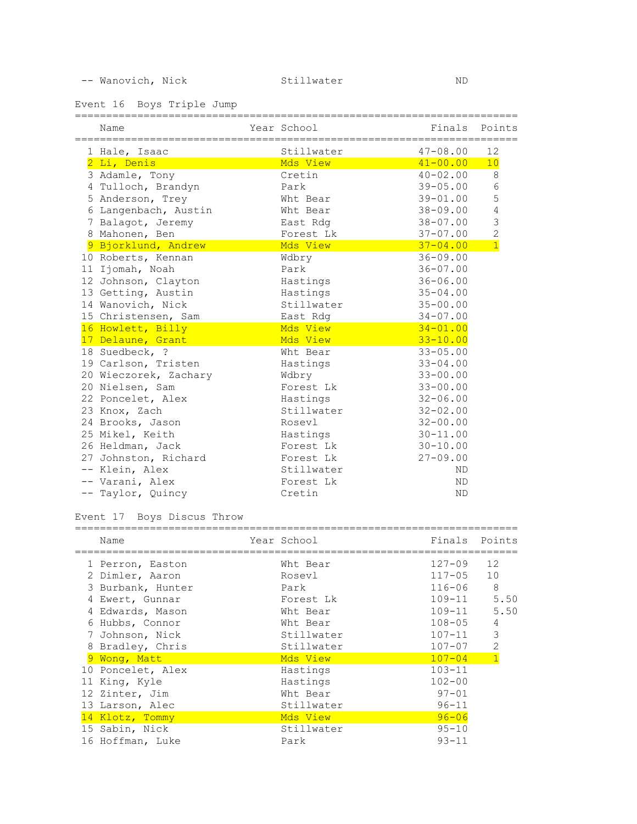-- Wanovich, Nick Stillwater ND

Event 16 Boys Triple Jump

| Name<br>==================================== | Year School<br>======================= | Finals<br>—————— | Points         |
|----------------------------------------------|----------------------------------------|------------------|----------------|
| 1 Hale, Isaac                                | Stillwater                             | $47 - 08.00$     | 12             |
| 2 Li, Denis                                  | Mds View                               | $41 - 00.00$     | 10             |
| 3 Adamle, Tony                               | Cretin                                 | $40 - 02.00$     | 8              |
| 4 Tulloch, Brandyn                           | Park                                   | $39 - 05.00$     | $\sqrt{6}$     |
| 5 Anderson, Trey                             | Wht Bear                               | $39 - 01.00$     | 5              |
| 6 Langenbach, Austin                         | Wht Bear                               | $38 - 09.00$     | $\sqrt{4}$     |
| 7 Balagot, Jeremy                            | East Rdg                               | $38 - 07.00$     | $\mathcal{S}$  |
| 8 Mahonen, Ben                               | Forest Lk                              | $37 - 07.00$     | $\overline{2}$ |
| 9 Bjorklund, Andrew                          | Mds View                               | $37 - 04.00$     | $\overline{1}$ |
| 10 Roberts, Kennan                           | Wdbry                                  | $36 - 09.00$     |                |
| 11 Ijomah, Noah                              | Park                                   | $36 - 07.00$     |                |
| 12 Johnson, Clayton                          | Hastings                               | $36 - 06.00$     |                |
| 13 Getting, Austin                           | Hastings                               | $35 - 04.00$     |                |
| 14 Wanovich, Nick                            | Stillwater                             | $35 - 00.00$     |                |
| 15 Christensen, Sam                          | East Rdg                               | $34 - 07.00$     |                |
| 16 Howlett, Billy                            | Mds View                               | $34 - 01.00$     |                |
| 17 Delaune, Grant                            | Mds View                               | $33 - 10.00$     |                |
| 18 Suedbeck, ?                               | Wht Bear                               | $33 - 05.00$     |                |
| 19 Carlson, Tristen                          | Hastings                               | $33 - 04.00$     |                |
| 20 Wieczorek, Zachary                        | Wdbry                                  | $33 - 00.00$     |                |
| 20 Nielsen, Sam                              | Forest Lk                              | $33 - 00.00$     |                |
| 22 Poncelet, Alex                            | Hastings                               | $32 - 06.00$     |                |
| 23 Knox, Zach                                | Stillwater                             | $32 - 02.00$     |                |
| 24 Brooks, Jason                             | Rosevl                                 | $32 - 00.00$     |                |
| 25 Mikel, Keith                              | Hastings                               | $30 - 11.00$     |                |
| 26 Heldman, Jack                             | Forest Lk                              | $30 - 10.00$     |                |
| 27 Johnston, Richard                         | Forest Lk                              | $27 - 09.00$     |                |
| -- Klein, Alex                               | Stillwater                             | <b>ND</b>        |                |
| -- Varani, Alex                              | Forest Lk                              | <b>ND</b>        |                |
| -- Taylor, Quincy                            | Cretin                                 | ND               |                |

# Event 17 Boys Discus Throw

======================================================================= Name Year School Finals Points

| 1 Perron, Easton  | Wht Bear   | $127 - 09$ | 12             |
|-------------------|------------|------------|----------------|
| 2 Dimler, Aaron   | Rosevl     | $117 - 05$ | 10             |
| 3 Burbank, Hunter | Park       | $116 - 06$ | - 8            |
| 4 Ewert, Gunnar   | Forest Lk  | $109 - 11$ | 5.50           |
| 4 Edwards, Mason  | Wht Bear   | $109 - 11$ | 5.50           |
| 6 Hubbs, Connor   | Wht Bear   | $108 - 05$ | 4              |
| 7 Johnson, Nick   | Stillwater | $107 - 11$ | 3              |
| 8 Bradley, Chris  | Stillwater | $107 - 07$ | 2              |
| 9 Wong, Matt      | Mds View   | $107 - 04$ | $\overline{1}$ |
| 10 Poncelet, Alex | Hastings   | $103 - 11$ |                |
| 11 King, Kyle     | Hastings   | $102 - 00$ |                |
| 12 Zinter, Jim    | Wht Bear   | $97 - 01$  |                |
| 13 Larson, Alec   | Stillwater | $96 - 11$  |                |
| 14 Klotz, Tommy   | Mds View   | $96 - 06$  |                |
| 15 Sabin, Nick    | Stillwater | $95 - 10$  |                |
| 16 Hoffman, Luke  | Park       | $93 - 11$  |                |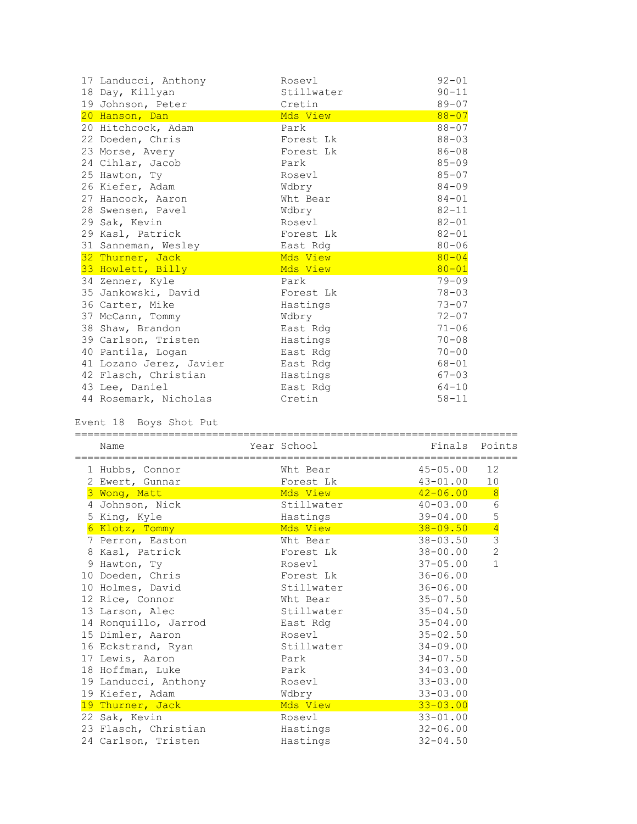| 17 Landucci, Anthony    | Rosevl     | $92 - 01$ |
|-------------------------|------------|-----------|
| 18 Day, Killyan         | Stillwater | $90 - 11$ |
| 19 Johnson, Peter       | Cretin     | $89 - 07$ |
| 20 Hanson, Dan          | Mds View   | $88 - 07$ |
| 20 Hitchcock, Adam      | Park       | $88 - 07$ |
| 22 Doeden, Chris        | Forest Lk  | $88 - 03$ |
| 23 Morse, Avery         | Forest Lk  | $86 - 08$ |
| 24 Cihlar, Jacob        | Park       | $85 - 09$ |
| 25 Hawton, Ty           | Rosevl     | $85 - 07$ |
| 26 Kiefer, Adam         | Wdbry      | $84 - 09$ |
| 27 Hancock, Aaron       | Wht Bear   | $84 - 01$ |
| 28 Swensen, Pavel       | Wdbry      | $82 - 11$ |
| 29 Sak, Kevin           | Rosevl     | $82 - 01$ |
| 29 Kasl, Patrick        | Forest Lk  | $82 - 01$ |
| 31 Sanneman, Wesley     | East Rdg   | $80 - 06$ |
| 32 Thurner, Jack        | Mds View   | $80 - 04$ |
| 33 Howlett, Billy       | Mds View   | $80 - 01$ |
| 34 Zenner, Kyle         | Park       | $79 - 09$ |
| 35 Jankowski, David     | Forest Lk  | $78 - 03$ |
| 36 Carter, Mike         | Hastings   | $73 - 07$ |
| 37 McCann, Tommy        | Wdbry      | $72 - 07$ |
| 38 Shaw, Brandon        | East Rdg   | $71 - 06$ |
|                         |            |           |
| 39 Carlson, Tristen     | Hastings   | $70 - 08$ |
| 40 Pantila, Logan       | East Rdg   | $70 - 00$ |
| 41 Lozano Jerez, Javier | East Rdg   | $68 - 01$ |
| 42 Flasch, Christian    | Hastings   | $67 - 03$ |
| 43 Lee, Daniel          | East Rdg   | $64 - 10$ |

Event 18 Boys Shot Put

| EVENC TO DOVS SHOL FUL   |             |                                               |                |
|--------------------------|-------------|-----------------------------------------------|----------------|
| Name<br>================ | Year School | Finals<br>=================================== | Points         |
| 1 Hubbs, Connor          | Wht Bear    | $45 - 05.00$                                  | 12             |
| 2 Ewert, Gunnar          | Forest Lk   | $43 - 01.00$                                  | 10             |
| 3 Wong, Matt             | Mds View    | $42 - 06.00$                                  | 8              |
| 4 Johnson, Nick          | Stillwater  | $40 - 03.00$                                  | 6              |
| 5 King, Kyle             | Hastings    | $39 - 04.00$                                  | 5              |
| 6 Klotz, Tommy           | Mds View    | $38 - 09.50$                                  | $rac{4}{3}$    |
| 7 Perron, Easton         | Wht Bear    | $38 - 03.50$                                  |                |
| 8 Kasl, Patrick          | Forest Lk   | 38-00.00                                      | $\overline{c}$ |
| 9 Hawton, Ty             | Rosevl      | $37 - 05.00$                                  | $\mathbf{1}$   |
| 10 Doeden, Chris         | Forest Lk   | $36 - 06.00$                                  |                |
| 10 Holmes, David         | Stillwater  | $36 - 06.00$                                  |                |
| 12 Rice, Connor          | Wht Bear    | $35 - 07.50$                                  |                |
| 13 Larson, Alec          | Stillwater  | $35 - 04.50$                                  |                |
| 14 Ronquillo, Jarrod     | East Rdq    | $35 - 04.00$                                  |                |
| 15 Dimler, Aaron         | Rosevl      | $35 - 02.50$                                  |                |
| 16 Eckstrand, Ryan       | Stillwater  | $34 - 09.00$                                  |                |
| 17 Lewis, Aaron          | Park        | $34 - 07.50$                                  |                |
| 18 Hoffman, Luke         | Park        | $34 - 03.00$                                  |                |
| 19 Landucci, Anthony     | Rosevl      | $33 - 03.00$                                  |                |
| 19 Kiefer, Adam          | Wdbry       | $33 - 03.00$                                  |                |
| 19 Thurner, Jack         | Mds View    | $33 - 03.00$                                  |                |
| 22 Sak, Kevin            | Rosevl      | $33 - 01.00$                                  |                |
| 23 Flasch, Christian     | Hastings    | $32 - 06.00$                                  |                |
| 24 Carlson, Tristen      | Hastings    | $32 - 04.50$                                  |                |